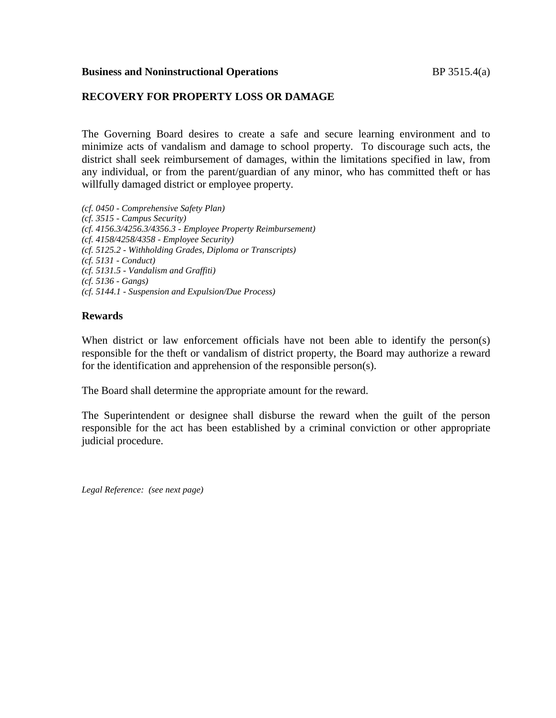### **Business and Noninstructional Operations** BP 3515.4(a)

## **RECOVERY FOR PROPERTY LOSS OR DAMAGE**

The Governing Board desires to create a safe and secure learning environment and to minimize acts of vandalism and damage to school property. To discourage such acts, the district shall seek reimbursement of damages, within the limitations specified in law, from any individual, or from the parent/guardian of any minor, who has committed theft or has willfully damaged district or employee property.

*(cf. 0450 - Comprehensive Safety Plan) (cf. 3515 - Campus Security) (cf. 4156.3/4256.3/4356.3 - Employee Property Reimbursement) (cf. 4158/4258/4358 - Employee Security) (cf. 5125.2 - Withholding Grades, Diploma or Transcripts) (cf. 5131 - Conduct) (cf. 5131.5 - Vandalism and Graffiti) (cf. 5136 - Gangs) (cf. 5144.1 - Suspension and Expulsion/Due Process)*

### **Rewards**

When district or law enforcement officials have not been able to identify the person(s) responsible for the theft or vandalism of district property, the Board may authorize a reward for the identification and apprehension of the responsible person(s).

The Board shall determine the appropriate amount for the reward.

The Superintendent or designee shall disburse the reward when the guilt of the person responsible for the act has been established by a criminal conviction or other appropriate judicial procedure.

*Legal Reference: (see next page)*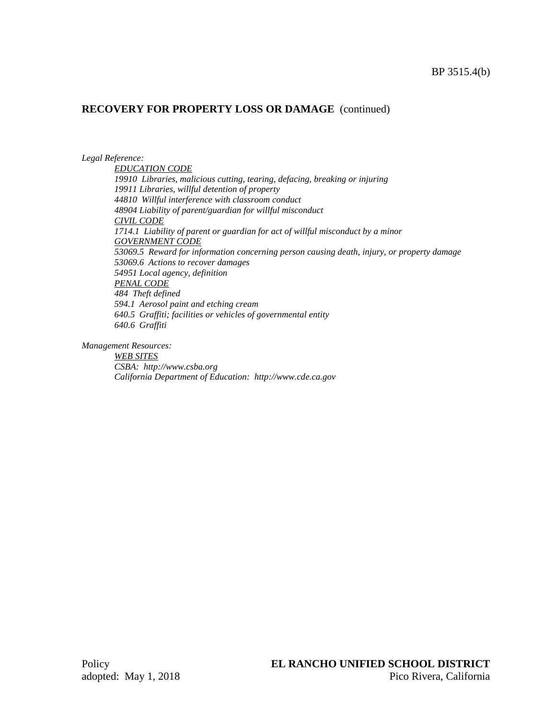# **RECOVERY FOR PROPERTY LOSS OR DAMAGE** (continued)

*Legal Reference:*

*EDUCATION CODE 19910 Libraries, malicious cutting, tearing, defacing, breaking or injuring 19911 Libraries, willful detention of property 44810 Willful interference with classroom conduct 48904 Liability of parent/guardian for willful misconduct CIVIL CODE 1714.1 Liability of parent or guardian for act of willful misconduct by a minor GOVERNMENT CODE 53069.5 Reward for information concerning person causing death, injury, or property damage 53069.6 Actions to recover damages 54951 Local agency, definition PENAL CODE 484 Theft defined 594.1 Aerosol paint and etching cream 640.5 Graffiti; facilities or vehicles of governmental entity 640.6 Graffiti*

*Management Resources:*

*WEB SITES CSBA: http://www.csba.org California Department of Education: http://www.cde.ca.gov*